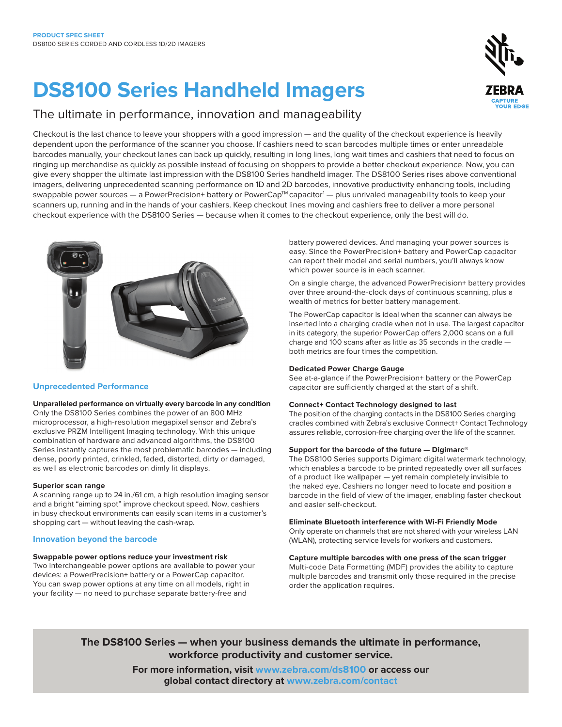# **DS8100 Series Handheld Imagers**

### The ultimate in performance, innovation and manageability

Checkout is the last chance to leave your shoppers with a good impression — and the quality of the checkout experience is heavily dependent upon the performance of the scanner you choose. If cashiers need to scan barcodes multiple times or enter unreadable barcodes manually, your checkout lanes can back up quickly, resulting in long lines, long wait times and cashiers that need to focus on ringing up merchandise as quickly as possible instead of focusing on shoppers to provide a better checkout experience. Now, you can give every shopper the ultimate last impression with the DS8100 Series handheld imager. The DS8100 Series rises above conventional imagers, delivering unprecedented scanning performance on 1D and 2D barcodes, innovative productivity enhancing tools, including swappable power sources — a PowerPrecision+ battery or PowerCap™ capacitor<sup>1</sup> — plus unrivaled manageability tools to keep your scanners up, running and in the hands of your cashiers. Keep checkout lines moving and cashiers free to deliver a more personal checkout experience with the DS8100 Series — because when it comes to the checkout experience, only the best will do.



#### **Unprecedented Performance**

**Unparalleled performance on virtually every barcode in any condition**

Only the DS8100 Series combines the power of an 800 MHz microprocessor, a high-resolution megapixel sensor and Zebra's exclusive PRZM Intelligent Imaging technology. With this unique combination of hardware and advanced algorithms, the DS8100 Series instantly captures the most problematic barcodes — including dense, poorly printed, crinkled, faded, distorted, dirty or damaged, as well as electronic barcodes on dimly lit displays.

#### **Superior scan range**

A scanning range up to 24 in./61 cm, a high resolution imaging sensor and a bright "aiming spot" improve checkout speed. Now, cashiers in busy checkout environments can easily scan items in a customer's shopping cart — without leaving the cash-wrap.

#### **Innovation beyond the barcode**

#### **Swappable power options reduce your investment risk**

Two interchangeable power options are available to power your devices: a PowerPrecision+ battery or a PowerCap capacitor. You can swap power options at any time on all models, right in your facility — no need to purchase separate battery-free and

battery powered devices. And managing your power sources is easy. Since the PowerPrecision+ battery and PowerCap capacitor can report their model and serial numbers, you'll always know which power source is in each scanner.

On a single charge, the advanced PowerPrecision+ battery provides over three around-the-clock days of continuous scanning, plus a wealth of metrics for better battery management.

The PowerCap capacitor is ideal when the scanner can always be inserted into a charging cradle when not in use. The largest capacitor in its category, the superior PowerCap offers 2,000 scans on a full charge and 100 scans after as little as 35 seconds in the cradle both metrics are four times the competition.

#### **Dedicated Power Charge Gauge**

See at-a-glance if the PowerPrecision+ battery or the PowerCap capacitor are sufficiently charged at the start of a shift.

#### **Connect+ Contact Technology designed to last**

The position of the charging contacts in the DS8100 Series charging cradles combined with Zebra's exclusive Connect+ Contact Technology assures reliable, corrosion-free charging over the life of the scanner.

#### **Support for the barcode of the future — Digimarc®**

The DS8100 Series supports Digimarc digital watermark technology, which enables a barcode to be printed repeatedly over all surfaces of a product like wallpaper — yet remain completely invisible to the naked eye. Cashiers no longer need to locate and position a barcode in the field of view of the imager, enabling faster checkout and easier self-checkout.

#### **Eliminate Bluetooth interference with Wi-Fi Friendly Mode**

Only operate on channels that are not shared with your wireless LAN (WLAN), protecting service levels for workers and customers.

#### **Capture multiple barcodes with one press of the scan trigger**

Multi-code Data Formatting (MDF) provides the ability to capture multiple barcodes and transmit only those required in the precise order the application requires.

**The DS8100 Series — when your business demands the ultimate in performance, workforce productivity and customer service.**

> **For more information, visit [www.zebra.com/](http://www.zebra.com/ds8100)ds8100 or access our global contact directory at [www.zebra.com/contact](http://www.zebra.com/contact)**

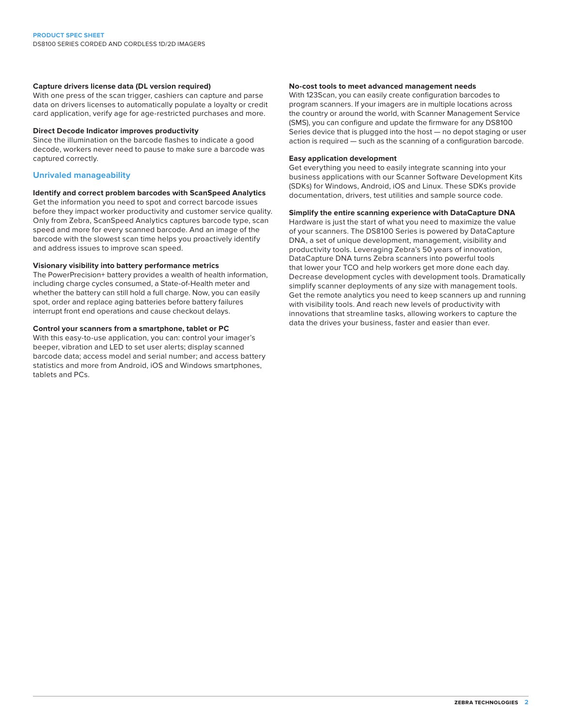#### **Capture drivers license data (DL version required)**

With one press of the scan trigger, cashiers can capture and parse data on drivers licenses to automatically populate a loyalty or credit card application, verify age for age-restricted purchases and more.

#### **Direct Decode Indicator improves productivity**

Since the illumination on the barcode flashes to indicate a good decode, workers never need to pause to make sure a barcode was captured correctly.

#### **Unrivaled manageability**

#### **Identify and correct problem barcodes with ScanSpeed Analytics**

Get the information you need to spot and correct barcode issues before they impact worker productivity and customer service quality. Only from Zebra, ScanSpeed Analytics captures barcode type, scan speed and more for every scanned barcode. And an image of the barcode with the slowest scan time helps you proactively identify and address issues to improve scan speed.

#### **Visionary visibility into battery performance metrics**

The PowerPrecision+ battery provides a wealth of health information, including charge cycles consumed, a State-of-Health meter and whether the battery can still hold a full charge. Now, you can easily spot, order and replace aging batteries before battery failures interrupt front end operations and cause checkout delays.

#### **Control your scanners from a smartphone, tablet or PC**

With this easy-to-use application, you can: control your imager's beeper, vibration and LED to set user alerts; display scanned barcode data; access model and serial number; and access battery statistics and more from Android, iOS and Windows smartphones, tablets and PCs.

#### **No-cost tools to meet advanced management needs**

With 123Scan, you can easily create configuration barcodes to program scanners. If your imagers are in multiple locations across the country or around the world, with Scanner Management Service (SMS), you can configure and update the firmware for any DS8100 Series device that is plugged into the host — no depot staging or user action is required — such as the scanning of a configuration barcode.

#### **Easy application development**

Get everything you need to easily integrate scanning into your business applications with our Scanner Software Development Kits (SDKs) for Windows, Android, iOS and Linux. These SDKs provide documentation, drivers, test utilities and sample source code.

#### **Simplify the entire scanning experience with DataCapture DNA**

Hardware is just the start of what you need to maximize the value of your scanners. The DS8100 Series is powered by DataCapture DNA, a set of unique development, management, visibility and productivity tools. Leveraging Zebra's 50 years of innovation, DataCapture DNA turns Zebra scanners into powerful tools that lower your TCO and help workers get more done each day. Decrease development cycles with development tools. Dramatically simplify scanner deployments of any size with management tools. Get the remote analytics you need to keep scanners up and running with visibility tools. And reach new levels of productivity with innovations that streamline tasks, allowing workers to capture the data the drives your business, faster and easier than ever.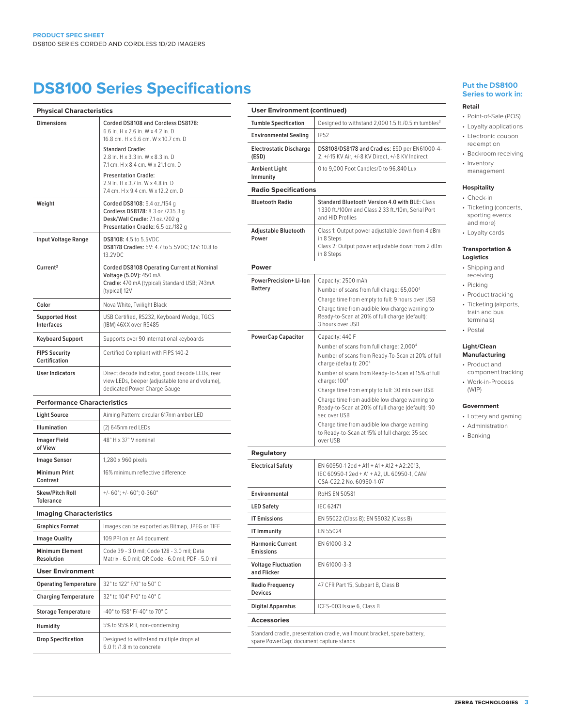## **DS8100 Series Specifications**

| <b>Physical Characteristics</b>              |                                                                                                                                           | <b>User Env</b>                       |
|----------------------------------------------|-------------------------------------------------------------------------------------------------------------------------------------------|---------------------------------------|
| <b>Dimensions</b>                            | Corded DS8108 and Cordless DS8178:                                                                                                        | <b>Tumble Spe</b>                     |
|                                              | 6.6 in. H x 2.6 in. W x 4.2 in. D<br>16.8 cm. H x 6.6 cm. W x 10.7 cm. D                                                                  | Environmer                            |
|                                              | <b>Standard Cradle:</b>                                                                                                                   | Electrostati                          |
|                                              | 2.8 in. H x 3.3 in. W x 8.3 in. D<br>7.1 cm. H x 8.4 cm. W x 21.1 cm. D                                                                   | (ESD)                                 |
|                                              | <b>Presentation Cradle:</b>                                                                                                               | <b>Ambient Lio</b><br>Immunity        |
|                                              | 2.9 in. H x 3.7 in. W x 4.8 in. D<br>7.4 cm, H x 9.4 cm, W x 12.2 cm, D                                                                   | <b>Radio Sp</b>                       |
| Weight                                       | Corded DS8108: 5.4 oz./154 g<br>Cordless DS8178: 8.3 oz./235.3 g<br>Desk/Wall Cradle: 7.1 oz./202 g<br>Presentation Cradle: 6.5 oz./182 g | <b>Bluetooth F</b>                    |
| <b>Input Voltage Range</b>                   | <b>DS8108: 4.5 to 5.5VDC</b><br>DS8178 Cradles: 5V: 4.7 to 5.5VDC; 12V: 10.8 to<br>13.2VDC                                                | Adjustable<br>Power                   |
| Current <sup>2</sup>                         | Corded DS8108 Operating Current at Nominal                                                                                                | Power                                 |
|                                              | Voltage (5.0V): 450 mA<br>Cradle: 470 mA (typical) Standard USB; 743mA<br>(typical) 12V                                                   | <b>PowerPreci</b><br><b>Battery</b>   |
| Color                                        | Nova White, Twilight Black                                                                                                                |                                       |
| <b>Supported Host</b><br>Interfaces          | USB Certified, RS232, Keyboard Wedge, TGCS<br>(IBM) 46XX over RS485                                                                       |                                       |
| Keyboard Support                             | Supports over 90 international keyboards                                                                                                  | PowerCap                              |
| <b>FIPS Security</b><br><b>Certification</b> | Certified Compliant with FIPS 140-2                                                                                                       |                                       |
| <b>User Indicators</b>                       | Direct decode indicator, good decode LEDs, rear<br>view LEDs, beeper (adjustable tone and volume),<br>dedicated Power Charge Gauge        |                                       |
| <b>Performance Characteristics</b>           |                                                                                                                                           |                                       |
| <b>Light Source</b>                          | Aiming Pattern: circular 617nm amber LED                                                                                                  |                                       |
| <b>Illumination</b>                          | (2) 645nm red LEDs                                                                                                                        |                                       |
| <b>Imager Field</b><br>of View               | 48° H x 37° V nominal                                                                                                                     | Regulato                              |
| <b>Image Sensor</b>                          | 1,280 x 960 pixels                                                                                                                        | <b>Electrical S</b>                   |
| <b>Minimum Print</b><br>Contrast             | 16% minimum reflective difference                                                                                                         |                                       |
| <b>Skew/Pitch Roll</b><br><b>Tolerance</b>   | +/- $60^\circ$ ; +/- $60^\circ$ ; 0-360 $^\circ$                                                                                          | Environmer                            |
| <b>Imaging Characteristics</b>               |                                                                                                                                           | <b>LED Safety</b>                     |
| <b>Graphics Format</b>                       | Images can be exported as Bitmap, JPEG or TIFF                                                                                            | <b>IT Emission</b>                    |
| <b>Image Quality</b>                         | 109 PPI on an A4 document                                                                                                                 | IT Immunity                           |
| <b>Minimum Element</b><br>Resolution         | Code 39 - 3.0 mil; Code 128 - 3.0 mil; Data<br>Matrix - 6.0 mil; QR Code - 6.0 mil; PDF - 5.0 mil                                         | <b>Harmonic C</b><br><b>Emissions</b> |
| <b>User Environment</b>                      |                                                                                                                                           | <b>Voltage Flu</b><br>and Flicker     |
| <b>Operating Temperature</b>                 | 32° to 122° F/0° to 50° C                                                                                                                 | <b>Radio Freqi</b>                    |
| <b>Charging Temperature</b>                  | 32° to 104° F/0° to 40° C                                                                                                                 | <b>Devices</b>                        |
| <b>Storage Temperature</b>                   | -40° to 158° F/-40° to 70° C                                                                                                              | Digital App                           |
|                                              |                                                                                                                                           | <b>Accessor</b>                       |
| Humidity                                     | 5% to 95% RH, non-condensing                                                                                                              | Standard cra                          |

| <b>User Environment (continued)</b>         |                                                                                                                                                                                                                                                                                                                                                                                                                                                                                                                                  |  |  |  |
|---------------------------------------------|----------------------------------------------------------------------------------------------------------------------------------------------------------------------------------------------------------------------------------------------------------------------------------------------------------------------------------------------------------------------------------------------------------------------------------------------------------------------------------------------------------------------------------|--|--|--|
| <b>Tumble Specification</b>                 | Designed to withstand 2,000 1.5 ft./0.5 m tumbles <sup>3</sup>                                                                                                                                                                                                                                                                                                                                                                                                                                                                   |  |  |  |
| <b>Environmental Sealing</b>                | <b>IP52</b>                                                                                                                                                                                                                                                                                                                                                                                                                                                                                                                      |  |  |  |
| <b>Electrostatic Discharge</b><br>(ESD)     | DS8108/DS8178 and Cradles: ESD per EN61000-4-<br>2, +/-15 KV Air, +/-8 KV Direct, +/-8 KV Indirect                                                                                                                                                                                                                                                                                                                                                                                                                               |  |  |  |
| Ambient Light<br>Immunity                   | 0 to 9,000 Foot Candles/0 to 96,840 Lux                                                                                                                                                                                                                                                                                                                                                                                                                                                                                          |  |  |  |
| <b>Radio Specifications</b>                 |                                                                                                                                                                                                                                                                                                                                                                                                                                                                                                                                  |  |  |  |
| <b>Bluetooth Radio</b>                      | <b>Standard Bluetooth Version 4.0 with BLE: Class</b><br>1330 ft./100m and Class 2 33 ft./10m, Serial Port<br>and HID Profiles                                                                                                                                                                                                                                                                                                                                                                                                   |  |  |  |
| Adjustable Bluetooth<br>Power               | Class 1: Output power adjustable down from 4 dBm<br>in 8 Steps<br>Class 2: Output power adjustable down from 2 dBm<br>in 8 Steps                                                                                                                                                                                                                                                                                                                                                                                                 |  |  |  |
| Power                                       |                                                                                                                                                                                                                                                                                                                                                                                                                                                                                                                                  |  |  |  |
| PowerPrecision+Li-lon<br><b>Battery</b>     | Capacity: 2500 mAh<br>Number of scans from full charge: 65,000 <sup>4</sup><br>Charge time from empty to full: 9 hours over USB<br>Charge time from audible low charge warning to<br>Ready-to-Scan at 20% of full charge (default):<br>3 hours over USB                                                                                                                                                                                                                                                                          |  |  |  |
| <b>PowerCap Capacitor</b>                   | Capacity: 440 F<br>Number of scans from full charge: 2,000 <sup>4</sup><br>Number of scans from Ready-To-Scan at 20% of full<br>charge (default): 200 <sup>4</sup><br>Number of scans from Ready-To-Scan at 15% of full<br>charge: $1004$<br>Charge time from empty to full: 30 min over USB<br>Charge time from audible low charge warning to<br>Ready-to-Scan at 20% of full charge (default): 90<br>sec over USB<br>Charge time from audible low charge warning<br>to Ready-to-Scan at 15% of full charge: 35 sec<br>over USB |  |  |  |
| <b>Regulatory</b>                           |                                                                                                                                                                                                                                                                                                                                                                                                                                                                                                                                  |  |  |  |
| <b>Electrical Safety</b>                    | EN 60950-1 2ed + A11 + A1 + A12 + A2:2013.<br>IEC 60950-1 2ed + A1 + A2, UL 60950-1, CAN/<br>CSA-C22.2 No. 60950-1-07                                                                                                                                                                                                                                                                                                                                                                                                            |  |  |  |
| Environmental                               | <b>RoHS EN 50581</b>                                                                                                                                                                                                                                                                                                                                                                                                                                                                                                             |  |  |  |
| <b>LED Safety</b>                           | <b>IEC 62471</b>                                                                                                                                                                                                                                                                                                                                                                                                                                                                                                                 |  |  |  |
| <b>IT Emissions</b>                         | EN 55022 (Class B); EN 55032 (Class B)                                                                                                                                                                                                                                                                                                                                                                                                                                                                                           |  |  |  |
| <b>IT Immunity</b>                          | EN 55024                                                                                                                                                                                                                                                                                                                                                                                                                                                                                                                         |  |  |  |
| <b>Harmonic Current</b><br><b>Emissions</b> | FN 61000-3-2                                                                                                                                                                                                                                                                                                                                                                                                                                                                                                                     |  |  |  |
| Voltage Fluctuation<br>and Flicker          | EN 61000-3-3                                                                                                                                                                                                                                                                                                                                                                                                                                                                                                                     |  |  |  |
| Radio Frequency<br><b>Devices</b>           | 47 CFR Part 15, Subpart B, Class B                                                                                                                                                                                                                                                                                                                                                                                                                                                                                               |  |  |  |
| Digital Apparatus                           | ICES-003 Issue 6, Class B                                                                                                                                                                                                                                                                                                                                                                                                                                                                                                        |  |  |  |
| <b>Accessories</b>                          |                                                                                                                                                                                                                                                                                                                                                                                                                                                                                                                                  |  |  |  |
| spare PowerCap; document capture stands     | Standard cradle, presentation cradle, wall mount bracket, spare battery,                                                                                                                                                                                                                                                                                                                                                                                                                                                         |  |  |  |

#### **Put the DS8100 Series to work in:**

#### **Retail**

#### • Point-of-Sale (POS) • Loyalty applications

- Electronic coupon redemption
- Backroom receiving
- Inventory management

#### **Hospitality**

- Check-in • Ticketing (concerts, sporting events and more)
- Loyalty cards

#### **Transportation & Logistics**

- Shipping and receiving
- Picking
- Product tracking • Ticketing (airports, train and bus
- terminals)
- Postal

#### **Light/Clean Manufacturing**

- Product and
- component tracking • Work-in-Process (WIP)

#### **Government**

- Lottery and gaming
- Administration
- Banking